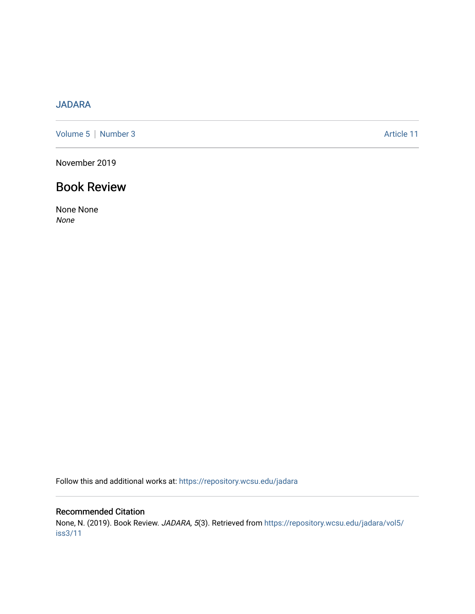## [JADARA](https://repository.wcsu.edu/jadara)

[Volume 5](https://repository.wcsu.edu/jadara/vol5) | [Number 3](https://repository.wcsu.edu/jadara/vol5/iss3) Article 11

November 2019

# Book Review

None None None

Follow this and additional works at: [https://repository.wcsu.edu/jadara](https://repository.wcsu.edu/jadara?utm_source=repository.wcsu.edu%2Fjadara%2Fvol5%2Fiss3%2F11&utm_medium=PDF&utm_campaign=PDFCoverPages)

### Recommended Citation

None, N. (2019). Book Review. JADARA, 5(3). Retrieved from [https://repository.wcsu.edu/jadara/vol5/](https://repository.wcsu.edu/jadara/vol5/iss3/11?utm_source=repository.wcsu.edu%2Fjadara%2Fvol5%2Fiss3%2F11&utm_medium=PDF&utm_campaign=PDFCoverPages) [iss3/11](https://repository.wcsu.edu/jadara/vol5/iss3/11?utm_source=repository.wcsu.edu%2Fjadara%2Fvol5%2Fiss3%2F11&utm_medium=PDF&utm_campaign=PDFCoverPages)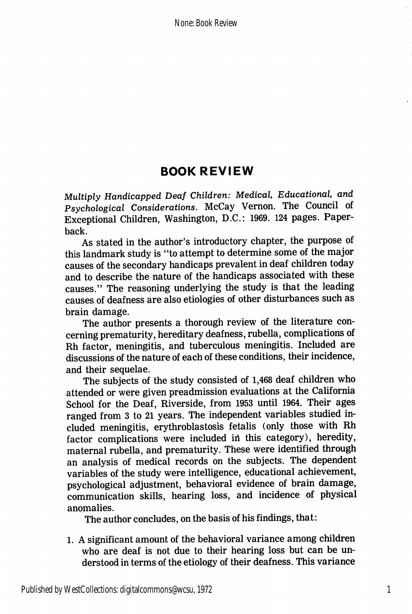# BOOK REVIEW

Multiply Handicapped Deaf Children: Medical, Educational, and Psychological Considerations. McCay Vernon. The Council of Exceptional Children, Washington, D.C.: 1969. 124 pages. Paper back.

As stated in the author's introductory chapter, the purpose of this landmark study is "to attempt to determine some of the major causes of the secondary handicaps prevalent in deaf children today and to describe the nature of the handicaps associated with these causes." The reasoning underlying the study is that the leading causes of deafness are also etiologies of other disturbances such as brain damage.

The author presents a thorough review of the literature con cerning prematurity, hereditary deafness, rubella, complications of Rh factor, meningitis, and tuberculous meningitis. Included are discussions of the nature of each of these conditions, their incidence, and their sequelae.

The subjects of the study consisted of 1,468 deaf children who attended or were given preadmission evaluations at the California School for the Deaf, Riverside, from 1953 until 1964. Their ages ranged from 3 to 21 years. The independent variables studied in cluded meningitis, erythroblastosis fetalis (only those with Rh factor complications were included ih this category), heredity, maternal rubella, and prematurity. These were identified through an analysis of medical records on the subjects. The dependent variables of the study were intelligence, educational achievement, psychological adjustment, behavioral evidence of brain damage, communication skills, hearing loss, and incidence of physical anomalies.

The author concludes, on the basis of his findings, that:

1. A significant amount of the behavioral variance among children who are deaf is not due to their hearing loss but can be un derstood in terms of the etiology of their deafness. This variance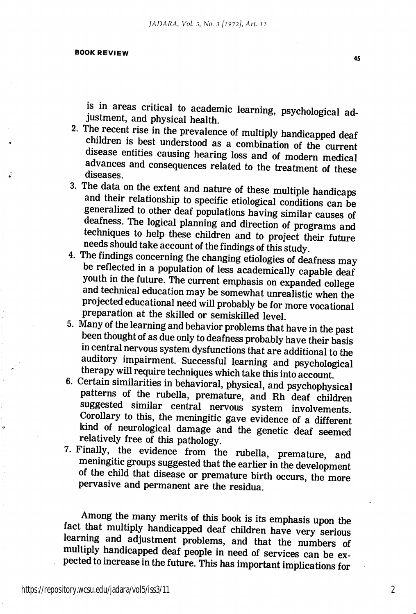#### BOOK REVIEW

is in areas critical to academic learning, psychological adjustment, and physical health.

- 2. The recent rise in the prevalence of multiply handicapped deaf children is best understood as a combination of the current disease entities causing hearing loss and of modern medical advances and consequences related to the treatment of these diseases.
- 3. The data on the extent and nature of these multiple handicaps and their relationship to specific etiological conditions can be generalized to other deaf populations having similar causes of deafness. The logical planning and direction of programs and techniques to help these children and to project their future needs should take account of the findings of this study.
- 4. The findings concerning the changing etiologies of deafness may be reflected in a population of less academically capable deaf youth in the future. The current emphasis on expanded college and technical education may be somewhat unrealistic when the projected educational need will probably be for more vocational preparation at the skilled or semiskilled level.
- 5. Many of the learning and behavior problems that have in the past been thought of as due only to deafness probably have their basis in central nervous system dysfunctions that are additional to the auditory impairment. Successful learning and psychological therapy will require techniques which take this into account.
- 6. Certain similarities in behavioral, physical, and psychophysical patterns of the rubella, premature, and Rh deaf children suggested similar central nervous system involvements. Corollary to this, the meningitic gave evidence of a different kind of neurological damage and the genetic deaf seemed relatively free of this pathology.
- 7. Finally, the evidence from the rubella, premature, and meningitic groups suggested that the earlier in the development of the child that disease or premature birth occurs, the more pervasive and permanent are the residua.

Among the many merits of this book is its emphasis upon the fact that multiply handicapped deaf children have very serious learning and adjustment problems, and that the numbers of multiply handicapped deaf people in need of services can be ex pected to increase in the future. This has important implications for

2